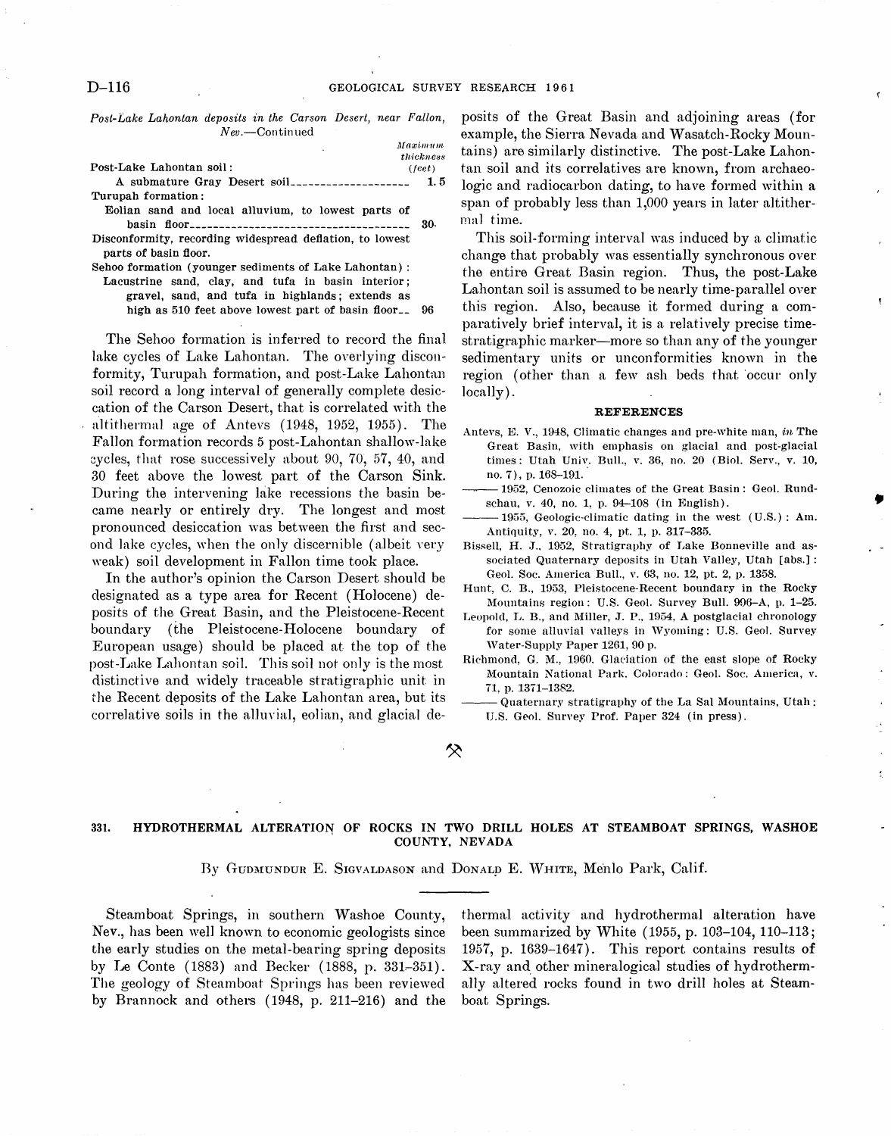*Post-Lake Lahontan deposits in the Carson Desert, near Fallon,*   $New.$ -Continued

|                                                                                   | Maximum         |
|-----------------------------------------------------------------------------------|-----------------|
|                                                                                   | thickness       |
| Post-Lake Lahontan soil:                                                          | $(\text{feet})$ |
|                                                                                   | 1.5             |
| Turupah formation:                                                                |                 |
| Eolian sand and local alluvium, to lowest parts of                                |                 |
|                                                                                   | 30.             |
| Disconformity, recording widespread deflation, to lowest<br>parts of basin floor. |                 |
| Sehoo formation (younger sediments of Lake Lahontan):                             |                 |

Lacustrine sand, clay, and tufa in basin interior; gravel, sand, and tufa in highlands; extends as high as 510 feet above lowest part of basin floor\_\_ 96

The Sehoo formation is inferred to record the final lake cycles of Lake Lahontan. The overlying disconformity, Turupah formation, and post-Lake Lahontan soil record a long interval of generally complete desiccation of the Carson Desert, that is correlated with the altithermal age of Antevs (1948, 1952, 1955). The Fallon formation records 5 post-Lahontan shallow-lake cycles, that rose successively about 90, 70, 57, 40, and 30 feet above the lowest part of the Carson Sink. During the intervening lake recessions the basin became nearly or entirely dry. The longest and most pronounced desiccation was between the first and second lake cycles, when the only discernible (albeit very weak) soil development in Fallon time took place.

In the author's opinion the Carson Desert should be designated as a type area for Recent (Holocene) deposits of the Great Basin, and the Pleistocene-Recent boundary (the Pleistocene-Holocene boundary of European usage) should be placed at the top of the post-Lake Lahontan soil. This soil not only is the most distinctive and widely traceable stratigraphic unit in the Recent deposits of the Lake Lahontan area, but its correlative soils in the alluvial, eolian, and glacial deposits of the Great Basin and adjoining areas (for example, the Sierra Nevada and Wasatch-Rocky Mountains) are similarly distinctive. The post-Lake Lahontan soil and its correlatives are known, from archaeologic and radiocarbon dating, to have formed within a span of probably less than 1,000 years in later altithermal time.

This soil-forming interval was induced by a climatic change that probably was essentially synchronous over the entire Great Basin region. Thus, the post-Lake Lahontan soil is assumed to be nearly time-parallel over this region. Also, because it formed during a comparatively brief interval, it is a relatively precise timestratigraphic marker-more so than any of the younger sedimentary units or unconformities known in the region (other than a few ash beds that 'occur only locally) .

#### REFERENCES

- Antevs, E. V., 1948, Climatic changes and pre-white man, in The Great Basin, with emphasis on glacial and post-glacial times: Utah Univ. Bull., v. 36, no. 20 (Biol. Serv., v. 10, no. 7), p. 168-191.
- ~. 1952, Cenozoic climates of the Great Basin: Geol. Rundschau, v. 40, no. 1, p. 94-108 (in English).

•

- -1955, Geologic-climatic dating in the west (U.S.): Am. Antiquity, v. 20, no. 4, pt. 1, p. 317-335.
- Bissell, H. J., 1952, Stratigraphy of Lake Bonneville and associated Quaternary deposits in Utah Valley, Utah [abs.]: Geol. Soc. America Bull., v. 63, no. 12, pt. 2, p. 1358.
- Hunt, C. B., 1953. Pleistocene-Recent boundary in the Rocky Mountains region: U.S. Geol. Survey Bull. 996-A, p. 1-25.
- Leopold, L. B., and Miller, J. P., 1954, A postglacial chronology for some alluvial valleys in Wyoming: U.S. Geol. Survey Water-Supply Paper 1261, 90 p.
- Richmond, G. M., 1960. Glaciation of the east slope of Rocky Mountain National Park. Colorado: Geol. Soc. America, v. 71, p. 1371-1382.
- Quaternary stratigraphy of the La Sal Mountains, Utah: U.S. Geol. Survey Prof. Paper 324 (in press).

⊗

## 331. HYDROTHERMAL ALTERATION OF ROCKS IN TWO DRILL HOLES AT STEAMBOAT SPRINGS, WASHOE COUNTY, NEVADA

### By GUDMUNDUR E. SIGVALDASON and DONALD E. WHITE, Menlo Park, Calif.

Steamboat Springs, in southern Washoe County, Nev., has been well known to economic geologists since the early studies on the metal-bearing spring deposits by Le Conte  $(1883)$  and Becker  $(1888, p. 331-351)$ . The geology of Steamboat Springs has been reviewed by Brannock and others (1948, p. 211-216) and the

thermal activity and hydrothermal alteration have been summarized by White (1955, p. 103-104, 110-113; 1957, p. 1639-1647). This report contains results of X-ray and. other mineralogical studies of hydrothermally altered rocks found in two drill holes at Steamboat Springs.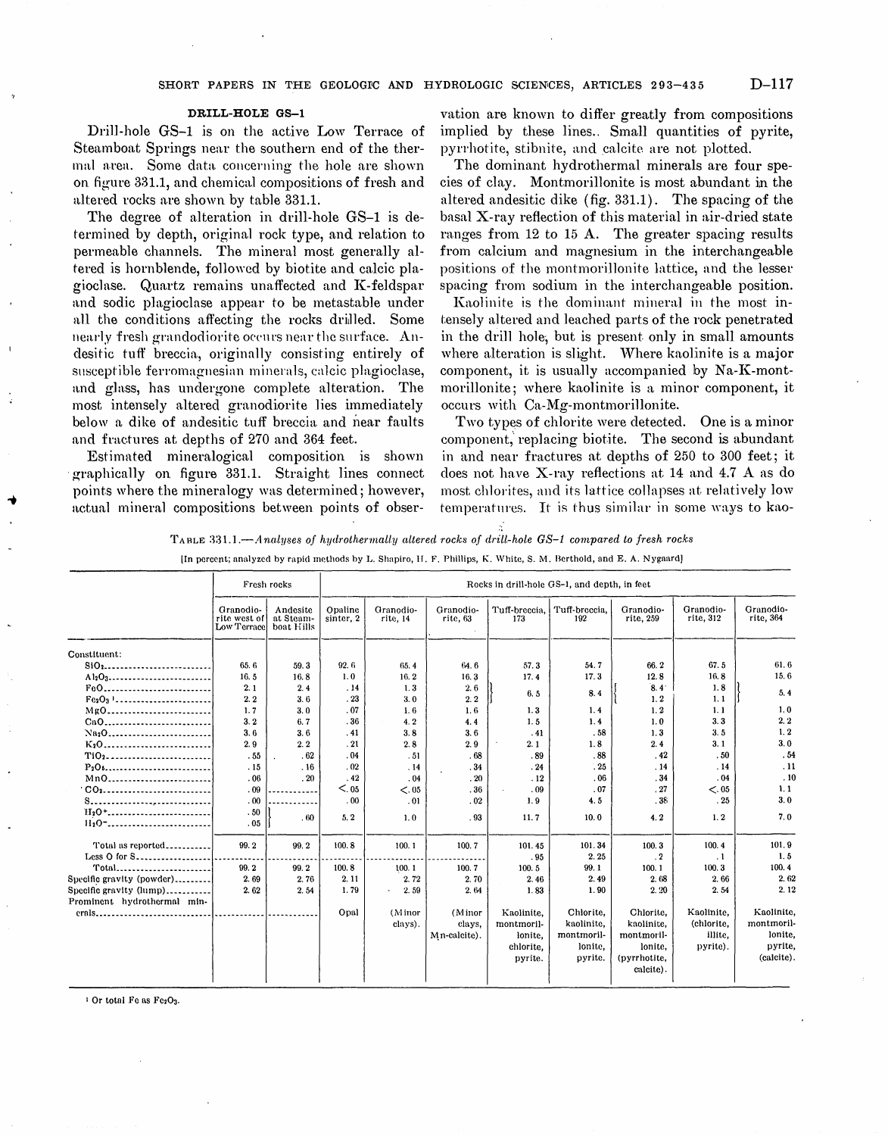#### DRILL-HOLE GS-l

Drill-hole GS-1 is on the active Low Terrace of Steamboat Springs near the southern end of the thermal area. Some data concerning the hole are shown on figure 331.1, and chemical compositions of fresh and altered rocks are shown by table 331.1.

The degree of alteration in drill-hole GS-1 is determined by depth, original rock type, and relation to permeable channels. The mineral most generally altered is hornblende, followed by biotite and calcic plagioclase. Quartz remains unaffected and K-feldspar and sodic plagioclase appear to be metastable under all the conditions affecting the rocks drilled. Some nearly fresh grandodiorite occurs near the surface. Andesitic tuff breccia, originally consisting entirely of susceptible ferromagnesian minerals, calcic plagioclase, and glass, has undergone complete alteration. The most intensely altered granodiorite lies immediately below a dike of andesitic tuff breccia and near faults and fractures at depths of 270 and 364 feet.

Estimated mineralogical composition is shown graphically on figure 331.1. Straight lines connect points where the mineralogy was determined; however, actual mineral compositions between points of obser-

vation are known to differ greatly from compositions implied by these lines.. Small quantities of pyrite, pyrrhotite, stibnite, and calcite are not plotted.

The dominant hydrothermal minerals are four species of clay. Montmorillonite is most abundant in the altered andesitic dike (fig. 331.1). The spacing of the basal X-ray reflection of this material in air-dried state ranges from  $12$  to  $15$  A. The greater spacing results from calcium and magnesium in the interchangeable positions of the montmorillonite lattice, and the lesser spacing from sodium in the interchangeable position,

Kaolinite is the dominant mineral in the most intensely altered and leached parts of the rock penetrated in the drill hole, but is present only in small amounts where alteration is slight. Where kaolinite is a major component, it is usually accompanied by  $Na-K-month$ morillonite; where kaolinite is a minor component, it occurs with Ca-Mg-montmorillonite.

Two types of chlorite were detected. One is a minor component, replacing biotite. The second is abundant in and near fractures at depths of 250 to 300 feet; it does not have X-ray reflections at 14 and 4.7 A as do most chlorites, and its lattice collapses at relatively low temperatures. It is thus similar in some ways to kao-

TABLE 331.1.-Analyses of hydrothermally altered rocks of drill-hole GS-1 compared to fresh rocks

|                                                   | Fresh rocks                              |                                     | Rocks in drill-hole GS-1, and depth, in feet |                       |                       |                      |                      |                        |                        |                        |  |
|---------------------------------------------------|------------------------------------------|-------------------------------------|----------------------------------------------|-----------------------|-----------------------|----------------------|----------------------|------------------------|------------------------|------------------------|--|
|                                                   | Granodio-<br>rite west of<br>Low Terrace | Andesite<br>at Steam-<br>boat Hills | Opaline<br>sinter, 2                         | Granodio-<br>rite, 14 | Granodio-<br>rite, 63 | Tuff-breccia,<br>173 | Tuff-breccia.<br>192 | Granodio-<br>rite, 259 | Granodio-<br>rite, 312 | Granodio-<br>rite, 364 |  |
| Constituent:                                      |                                          |                                     |                                              |                       |                       |                      |                      |                        |                        |                        |  |
|                                                   | 65.6                                     | 59.3                                | 92.6                                         | 65.4                  | 64.6                  | 57.3                 | 54.7                 | 66.2                   | 67.5                   | 61.6                   |  |
| A <sub>12</sub> O <sub>3</sub>                    | 16.5                                     | 16.8                                | 1.0                                          | 16.2                  | 16.3                  | 17.4                 | 17.3                 | 12.8                   | 16.8                   | 15.6                   |  |
| FeO                                               | 2.1                                      | 2.4                                 | .14                                          | 1,3                   | 2.6                   |                      |                      | 8.4 <sup>°</sup>       | 1.8                    |                        |  |
| $Fe2O3$                                           | 2.2                                      | 3.6                                 | .23                                          | 3.0                   | 2.2                   | 6.5                  | 8.4                  | 1.2                    | 1.1                    | 5.4                    |  |
| $MgO$                                             | 1.7                                      | 3.0                                 | .07                                          | 1.6                   | 1.6                   | 1.3                  | 1.4                  | 1.2                    | 1.1                    | 1.0                    |  |
| CaO                                               | 3.2                                      | 6.7                                 | .36                                          | 4.2                   | 4.4                   | 1.5                  | 1.4                  | 1.0                    | 3.3                    | 2.2                    |  |
|                                                   | 3.6                                      | 3.6                                 | . 41                                         | 3.8                   | 3.6                   | .41                  | .58                  | 1.3                    | 3.5                    | 1.2                    |  |
| $K_2O$                                            | 2.9                                      | 2.2                                 | .21                                          | 2.8                   | 2.9                   | 2.1                  | 1.8                  | 2.4                    | 3.1                    | 3.0                    |  |
| T102                                              | .55                                      | .62                                 | .04                                          | .51                   | .68                   | .89                  | .88                  | .42                    | .50                    | .54                    |  |
| $P_2O_5$                                          | .15                                      | .16                                 | .02                                          | .14                   | .34                   | .24                  | $\cdot$ 25           | .14                    | .14                    | .11                    |  |
| Mn0                                               | .06                                      | .20                                 | .42                                          | .04                   | .20                   | .12                  | .06                  | .34                    | .04                    | .10                    |  |
|                                                   | .09                                      |                                     | < 0.05                                       | <.05                  | .36                   | .09                  | .07                  | .27                    | < 0.05                 | 1, 1                   |  |
|                                                   | .00                                      |                                     | .00                                          | .01                   | .02                   | 1.9                  | 4.5                  | .38                    | .25                    | 3.0                    |  |
| $H_2O^+$                                          | .50                                      | .60                                 | 5.2                                          | 1,0                   | .93                   | 11.7                 | 10.0                 | 4.2                    | 1, 2                   | 7.0                    |  |
| $H_2O$ <sup>-</sup> ----------------------------- | .05                                      |                                     |                                              |                       |                       |                      |                      |                        |                        |                        |  |
| Total as reported                                 | 99.2                                     | 99.2                                | 100.8                                        | 100.1                 | 100.7                 | 101.45               | 101.34               | 100.3                  | 100.4                  | 101.9                  |  |
| Less O for S                                      |                                          |                                     |                                              |                       |                       | .95                  | 2.25                 | $\cdot$ 2              | $\cdot$ 1              | 1.5                    |  |
|                                                   | 99.2                                     | 99.2                                | 100.8                                        | 100.1                 | 100.7                 | 100.5                | 99.1                 | 100.1                  | 100.3                  | 100.4                  |  |
| Specific gravity (powder)                         | 2.69                                     | 2.76                                | 2.11                                         | 2.72                  | 2.70                  | 2.46                 | 2.49                 | 2.68                   | 2.66                   | 2.62                   |  |
| Specific gravity (lump)                           | 2.62                                     | 2.54                                | 1.79                                         | 2.59                  | 2.64                  | 1.83                 | 1.90                 | 2.20                   | 2.54                   | 2.12                   |  |
| Prominent hydrothermal min-                       |                                          |                                     |                                              |                       |                       |                      |                      |                        |                        |                        |  |
| erals                                             |                                          |                                     | Opal                                         | (Minor                | (Minor                | Kaolinite.           | Chlorite,            | Chlorite,              | Kaolinite.             | Kaolinite,             |  |
|                                                   |                                          |                                     |                                              | clays).               | clays.                | montmoril-           | kaolinite.           | kaolinite.             | (chlorite.             | montmoril-             |  |
|                                                   |                                          |                                     |                                              |                       | Mn-calcite).          | lonite.              | montmoril-           | montmoril-             | illite,                | lonite.                |  |
|                                                   |                                          |                                     |                                              |                       |                       | chlorite.            | lonite,              | lonite,                | pyrite).               | pyrite,                |  |
|                                                   |                                          |                                     |                                              |                       |                       | pyrite.              | pyrite.              | (pyrrhotite,           |                        | (calcite).             |  |
|                                                   |                                          |                                     |                                              |                       |                       |                      |                      | calcite).              |                        |                        |  |
|                                                   |                                          |                                     |                                              |                       |                       |                      |                      |                        |                        |                        |  |

<sup>1</sup> Or total Fe as Fe2O3.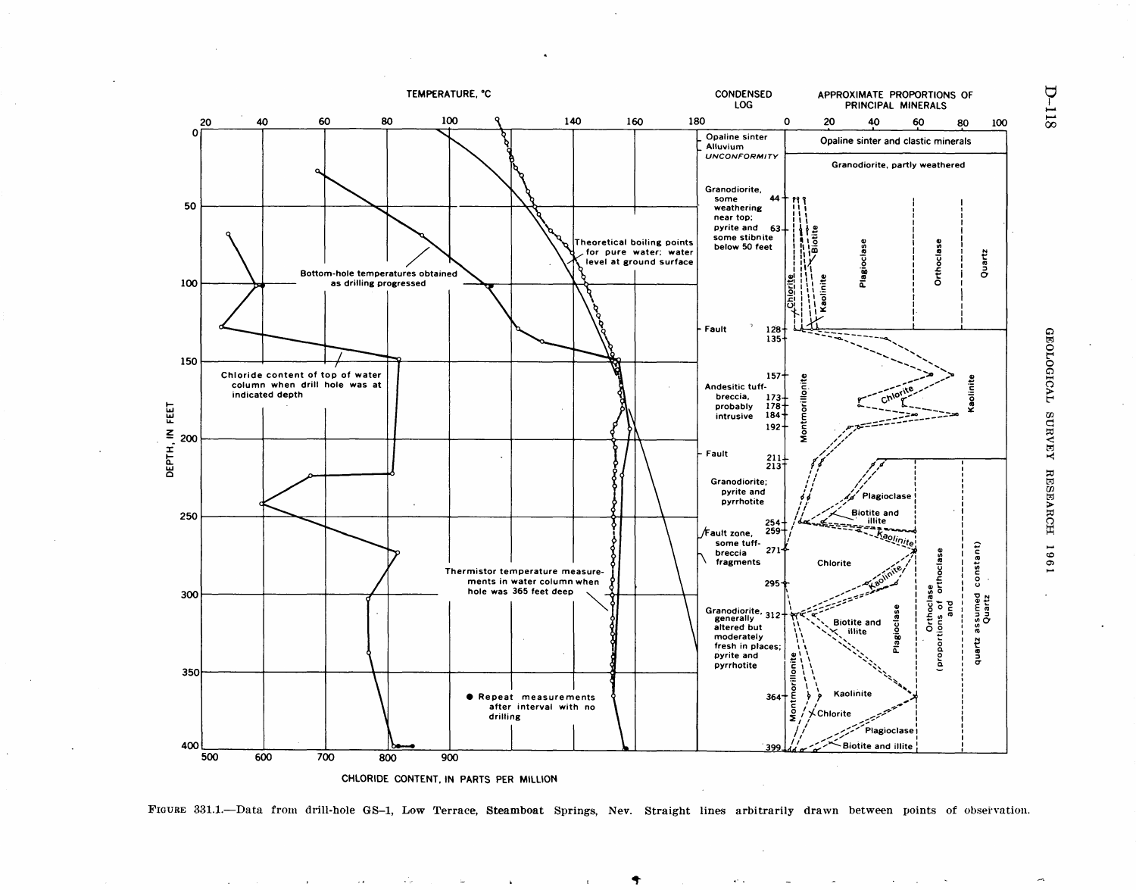

FIGURE 331.1.-Data from drill-hole GS-1, Low Terrace, Steamboat Springs, Nev. Straight lines arbitrarily drawn between points of obseivation.

**D-118** 

**GEOLOGICAL** SURVEY **RESEARCH** 1961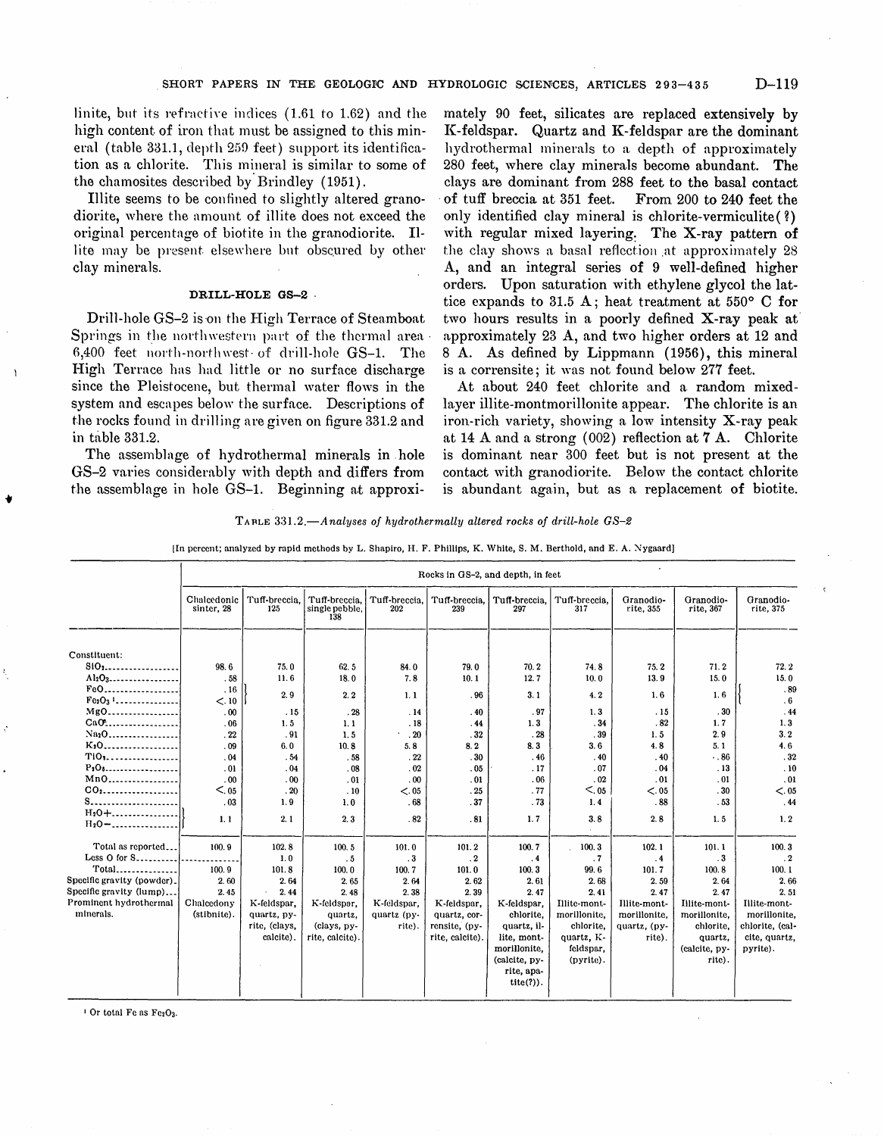linite, but its refractive indices  $(1.61$  to 1.62) and the high content of iron that must be assigned to this mineral (table  $331.1$ , depth  $259$  feet) support its identification as a chlorite. This mineral is similar to some of the chamosites described by· Brindley (1951).

Illite seems to be confined to slightly altered granodiorite, where the amount of illite does not exceed the original percentage of biotite in the granodiorite. Illite may be present elsewhere but obscured by other clay minerals.

## DRILL-HOLE GS-2 .

Drill-hole GS-2 is on the High Terrace of Steamboat Springs in the northwestern part of the thermal area  $6,400$  feet north-northwest of drill-hole GS-1. The High Terrace has had little or no surface discharge since the Pleistocene, but thermal water flows in the system and escapes below the surface. Descriptions of the rocks found in drilling are given on figure 331.2 and in table 331.2.

The assemblage of hydrothermal minerals in . hole GS-2 varies considerably with depth and differs from the assemblage in hole GS-1. Beginning at approximately 90 feet, silicates are replaced extensively by K-feldspar. Quartz and K-feldspar are the dominant hydrothermal minerals to a. depth of approximately 280 feet, where clay minerals become abundant. The clays are dominant from 288 feet to the basal contact of tuff breccia at 351 feet. only identified clay mineral is chlorite-vermiculite (?) with regular mixed layering: The X-ray pattern of the clay shows a basal reflection at approximately 28 A, and an integral series of 9 well-defined higher orders. Upon saturation with ethylene glycol the lattice expands to 31.5 A; heat treatment at  $550^{\circ}$  C for two hours results in a poorly defined X-ray peak at' approximately 23 A, and two higher orders at 12 and 8 A. As defined by Lippmann (1956), this mineral is a corrensite; it was not found below 277 feet.

At about 240 feet chlorite and a random mixedlayer illite-montmorillonite appear. The chlorite is an iron-rich variety, showing a low intensity X-ray peak at 14 A and a strong (002) reflection at 7 A. Chlorite is dominant near 300 feet but is not present at the contact with granodiorite. Below the contact chlorite is abundant again, but as a replacement of biotite.

TARLE 331.2.-Analyses of hydrothermally altered rocks of drill-hole GS-2

[In percent; analyzed by rapid methods by L. Shapiro, H. F. Phillips, K. White, S. M. Berthold, and E. A. Nygaard]

|                                       | Rocks in GS-2, and depth, in feet |                      |                                        |                      |                      |                           |                      |                        |                        |                        |
|---------------------------------------|-----------------------------------|----------------------|----------------------------------------|----------------------|----------------------|---------------------------|----------------------|------------------------|------------------------|------------------------|
|                                       | Chalcedonic<br>sinter, 28         | Tuff-breccia.<br>125 | Tuff-breccia.<br>single pebble.<br>138 | Tuff-breccia.<br>202 | Tuff-breccia,<br>239 | Tuff-breccia.<br>297      | Tuff-breccia.<br>317 | Granodio-<br>rite, 355 | Granodio-<br>rite, 367 | Granodio-<br>rite, 375 |
| Constituent:                          |                                   |                      |                                        |                      |                      |                           |                      |                        |                        |                        |
| $SIO_1$                               | 98.6                              | 75.0                 | 62.5                                   | 84.0                 | 79.0                 | 70.2                      | 74.8                 | 75.2                   | 71.2                   | 72.2                   |
| $Al_2O_3$                             | .58                               | 11.6                 | 18.0                                   | 7.8                  | 10.1                 | 12.7                      | 10.0                 | 13.9                   | 15.0                   | 15.0                   |
| $FeO$                                 | .16                               | 2.9                  | 2.2                                    | 1.1                  | .96                  | 3.1                       | 4.2                  | 1.6                    | 1.6                    | .89                    |
| $Fe2O31$                              | < 0.10                            |                      |                                        |                      |                      |                           |                      |                        |                        | .6                     |
| $MgO$                                 | .00                               | .15                  | .28                                    | .14                  | .40                  | . 97                      | 1, 3                 | .15                    | .30                    | .44                    |
| CaO <sub>2</sub> <sup>2</sup>         | .06                               | 1.5                  | 1, 1                                   | .18                  | .44                  | 1.3                       | .34                  | .82                    | 1.7                    | 1, 3                   |
|                                       | .22                               | .91                  | 1.5                                    | .20                  | .32                  | .28                       | .39                  | 1.5                    | 2.9                    | 3, 2                   |
| K <sub>1</sub> 0                      | .09                               | 6.0                  | 10.8                                   | 5.8                  | 8.2                  | 8.3                       | 3.6                  | 4.8                    | 5.1                    | 4, 6                   |
| $T10, \ldots, \ldots, \ldots, \ldots$ | .04                               | .54                  | .58                                    | .22                  | .30                  | .46                       | .40                  | .40                    | .86                    | .32                    |
| $P_1O_6$                              | .01                               | .04                  | .08                                    | .02                  | .05                  | .17                       | .07                  | .04                    | .13                    | .10                    |
| Mn0                                   | .00                               | .00                  | .01                                    | .00                  | .01                  | .06                       | .02                  | .01                    | .01                    | .01                    |
| CO <sub>2</sub>                       | $<$ , 05                          | .20                  | .10                                    | < 0.05               | .25                  | .77                       | $<$ .05              | <.05                   | .30                    | < 0.05                 |
|                                       | .03                               | 1.9                  | 1.0                                    | .68                  | .37                  | .73                       | 1.4                  | .88                    | .53                    | .44                    |
| $H_2O + \ldots$<br>$H_2O - \ldots$    | 1, 1                              | 2.1                  | 2.3                                    | .82                  | .81                  | 1.7                       | 3.8                  | 2.8                    | 1.5                    | 1, 2                   |
|                                       |                                   |                      |                                        |                      |                      |                           |                      |                        |                        |                        |
| Total as reported                     | 100.9                             | 102.8                | 100.5                                  | 101.0                | 101.2                | 100.7                     | 100.3                | 102.1                  | 101.1                  | 100.3                  |
| Less $O$ for $S$ ---------            |                                   | 1.0                  | .5                                     | $\cdot$ 3            | $\cdot$ 2            | .4                        | $\cdot$ 7            | .4                     | $\cdot$ 3              | $\cdot$ 2              |
| Total                                 | 100.9                             | 101.8                | 100.0                                  | 100.7                | 101.0                | 100.3                     | 99.6                 | 101.7                  | 100.8                  | 100.1                  |
| Specific gravity (powder).            | 2.60                              | 2.64                 | 2.65                                   | 2.64                 | 2.62                 | 2.61                      | 2.68                 | 2.59                   | 2.64                   | 2.66                   |
| Specific gravity (lump)               | 2.45                              | 2.44                 | 2.48                                   | 2.38                 | 2.39                 | 2.47                      | 2.41                 | 2.47                   | 2.47                   | 2.51                   |
| Prominent hydrothermal                | Chalcedony                        | K-feldspar,          | K-feldspar,                            | K-feldspar,          | K-feldspar,          | K-feldspar,               | Illite-mont-         | Illite-mont-           | Illite-mont-           | Illite-mont-           |
| minerals.                             | (stibnite).                       | quartz, py-          | quartz.                                | quartz (py-          | quartz, cor-         | chlorite.                 | morillonite,         | morillonite,           | morillonite,           | morillonite,           |
|                                       |                                   | rite, (clays,        | (clays, py-                            | rite).               | rensite, (py-        | quartz, il-               | chlorite.            | quartz, (py-           | chlorite.              | chlorite, (cal-        |
|                                       |                                   | calcite).            | rite, calcite)                         |                      | rite. calcite).      | lite. mont-               | quartz, K-           | rite).                 | quartz,                | cite, quartz.          |
|                                       |                                   |                      |                                        |                      |                      | morillonite.              | feldspar,            |                        | (calcite, py-          | pyrite).               |
|                                       |                                   |                      |                                        |                      |                      | (calcite, py-             | (pyrite).            |                        | rite).                 |                        |
|                                       |                                   |                      |                                        |                      |                      | rite, apa-<br>$tite(?)$ . |                      |                        |                        |                        |
|                                       |                                   |                      |                                        |                      |                      |                           |                      |                        |                        |                        |

 $1$  Or total Fe as Fe2O3.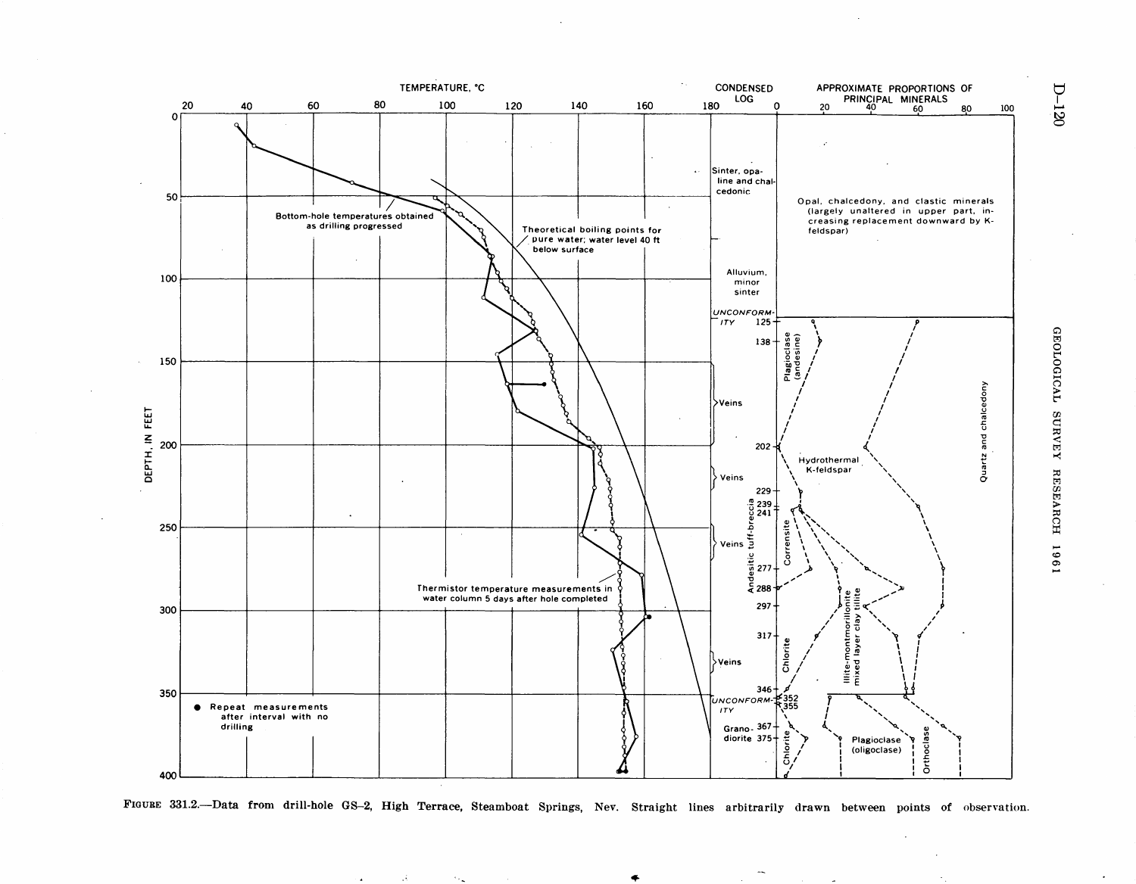

FIGURE 331.2.-Data from drill-hole GS-2, High Terrace, Steamboat Springs, Nev. Straight lines arbitrarily drawn between points of observation.

 $\mathcal{A}$ 

 $\epsilon_{\rm max}$ 

GEOLOGICAL  $\frac{1}{2}$ **RESEARC** ~ 196

 $D-120$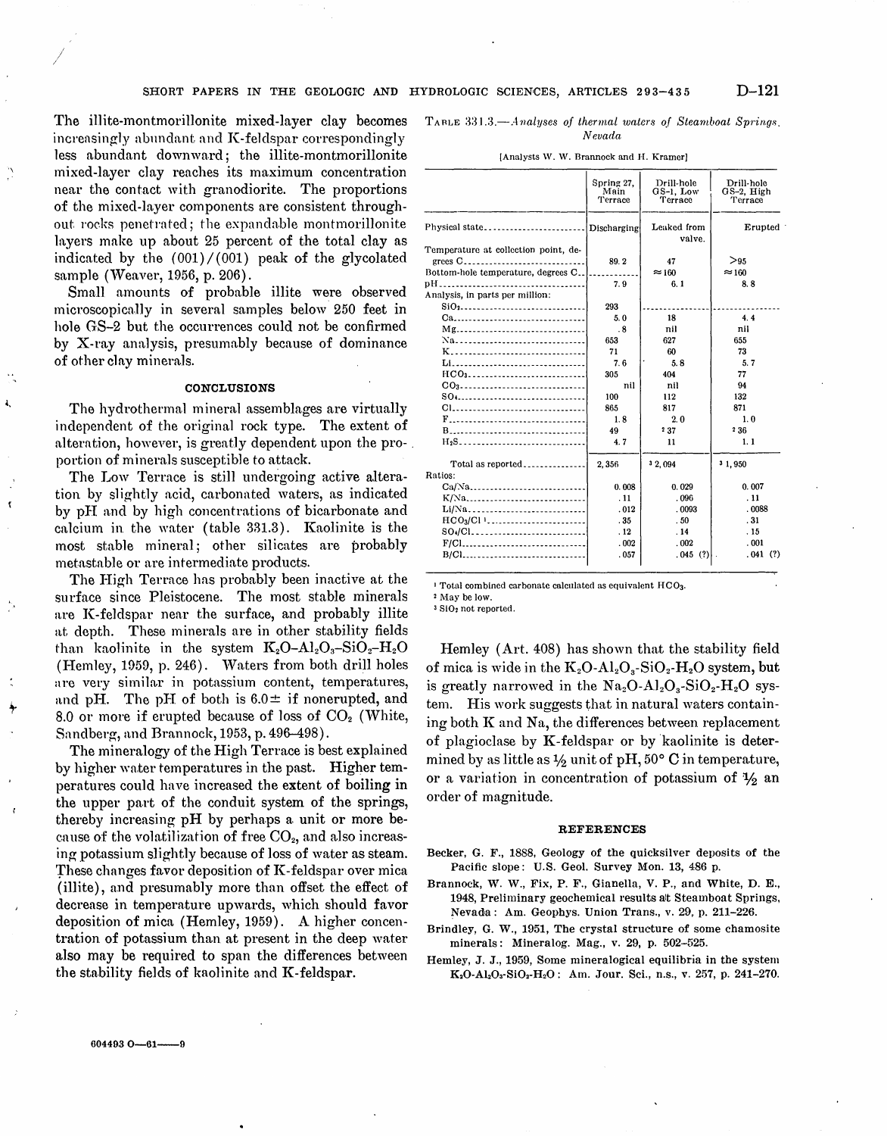The illite-montmorillonite mixed-layer clay becomes increasingly abundant and K-feldspar correspondingly less abundant downward; the illite-montmorillonite mixed-layer clay reaches its maximum concentration near the contact with granodiorite. The proportions of the mixed-layer components are consistent throughout rocks penetrated; the expandable montmorillonite layers make up about 25 percent of the total clay as indicated by the  $(001)/(001)$  peak of the glycolated sample (Weaver, 1956, p. 206).

'\

 $\mathbf{L}$ 

 $\mathbf{r}$ 

/

Small amounts of probable illite were observed microscopica.11y in several samples below 250 feet in hole GS-2 but the occurrences could not be confirmed by  $X$ -ray analysis, presumably because of dominance of other clay minerals.

## **CONCLUSIONS**

The hydrothermal mineral assemblages are virtually independent of the original rock type. The extent of alteration, however, is greatly dependent upon the pro- . portion of minerals susceptible to attack.

The Low Terrace is still undergoing active alteration by slightly acid, carbonated waters, as indicated by pl1 and by high concentrations of bicarbonate and calcium in the water (table  $331.3$ ). Kaolinite is the most stable mineral; other silicates are probably metastable or are intermediate products.

The High Terrace has probably been inactive at the surface since Pleistocene. The most stable minerals are K-feldspar near the surface, and probably illite at depth. These minerals are in other stability fields than kaolinite in the system  $K_2O-Al_2O_3-SiO_2-H_2O$ (Hemley, 1959, p. 246). Waters from both drill holes are very similar in potassium content, temperatures, and pH. The pH of both is  $6.0 \pm$  if nonerupted, and 8.0 or more if erupted because of loss of  $CO<sub>2</sub>$  (White, Sandberg, and Brannock, 1953, p. 496-498).

The mineralogy of the High Terrace is best explained by higher water temperatures in the past. Higher temperatures could have increased the extent of boiling in the upper part of the conduit system of the springs, thereby increasing  $pH$  by perhaps a unit or more because of the volatilization of free  $CO<sub>2</sub>$ , and also increasing potassium slightly because of loss of water as steam. These changes favor deposition of  $K$ -feldspar over mica (illite), and presumably more than offset the effect of decrease in temperature upwards, which should favor deposition of mica (Hemley, 1959). A higher concentration of potassium than at present in the deep water also may be required to span the differences between the stability fields of kaolinite and  $K$ -feldspar.

 $6044930 - 61$ ---

TARLE 331.3.<sup>-*Analyses of thermal waters of Steamboat Springs.*</sup> *Nevada* 

|                                                   | Spring 27.<br>Main<br>Terrace | Drill-hole<br>GS-1, Low<br>Terrace | Drill-hole<br>$GS-2$ , $High$<br>Terrace |
|---------------------------------------------------|-------------------------------|------------------------------------|------------------------------------------|
| Physical state                                    | Discharging                   | Leaked from<br>valve.              | Erupted                                  |
| Temperature at collection point, de-              |                               |                                    |                                          |
| grees C                                           | 89.2                          | 47                                 | >95                                      |
| Bottom-hole temperature, degrees C                |                               | $\approx 160$                      | $\approx$ 160                            |
| Analysis, in parts per million:                   | 7.9                           | 6.1                                | 8.8                                      |
|                                                   | 293                           |                                    |                                          |
| Ca                                                | 5.0                           | 18                                 | 4.4                                      |
|                                                   | $\cdot$ 8                     | nil                                | nil                                      |
| Na                                                | 653                           | 627                                | 655                                      |
|                                                   | 71                            | 60                                 | 73                                       |
| Li                                                | 7.6                           | 5.8                                | 5.7                                      |
| HCO3                                              | 305                           | 404                                | 77                                       |
| CO <sub>3</sub> --------------------------------- | nil                           | nil                                | 94                                       |
|                                                   | 100                           | 112                                | 132                                      |
|                                                   | 865                           | 817                                | 871                                      |
| F                                                 | 1.8                           | 2.0                                | 1.0                                      |
| B                                                 | 49                            | 237                                | 236                                      |
| $H_2S$                                            | 4.7                           | 11                                 | 1.1                                      |
| Total as reported<br>Ratios:                      | 2.356                         | 3 2, 094                           | 3 1,950                                  |
|                                                   | 0.008                         | 0.029                              | 0.007                                    |
| $K/Na$                                            | .11                           | .096                               | .11                                      |
| Li/Na                                             | .012                          | .0093                              | .0088                                    |
|                                                   | .35                           | .50                                | .31                                      |
|                                                   | .12                           | .14                                | .15                                      |
|                                                   | .002                          | .002                               | .001                                     |
|                                                   | .057                          | .045(?)                            | .041(?)                                  |
| B/Cl                                              |                               |                                    |                                          |

[Analysts W. W. Brannock and H. Kramer]

I Total combined carbonate calculated as equivalent HOOa.

2 May be low.

<sup>3</sup> SiO<sub>2</sub> not reported.

Hemley (Art.  $408$ ) has shown that the stability field of mica is wide in the  $K_2O-Al_2O_3-SiO_2-H_2O$  system, but is greatly narrowed in the  $\text{Na}_2\text{O}-\text{Al}_2\text{O}_3-\text{SiO}_2-\text{H}_2\text{O}$  system. His work suggests that in natural waters containing both  $K$  and  $Na$ , the differences between replacement of plagioclase by  $K$ -feldspar or by kaolinite is determined by as little as  $\frac{1}{2}$  unit of pH, 50° C in temperature, or a variation in concentration of potassium of  $\frac{1}{2}$  an order of magnitude.

#### REFERENCES

- Becker, G. F., 1888, Geology of the quicksilver deposits of the Pacific slope: U.S. Geol. Survey Mon. 13, 486 p.
- Brannock, W. W., Fix, P. F., Gianella, V. P., and White, D. E., 1948, Preliminary geochemical results alt Steamboat Springs, Nevada: Am. Geophys. Union Trans., v. 29, p. 211-226.
- Brindley, G. W., 1951, The crystal structure of some chamosite minerals: Mineralog. Mag., v. 29, p. 502-525.
- Hemley, J. J., 1959, Some mineralogical equilibria in the system K<sub>2</sub>O-Al<sub>2</sub>O<sub>3</sub>-SiO<sub>2</sub>-H<sub>2</sub>O: Am. Jour. Sci., n.s., v. 257, p. 241-270.